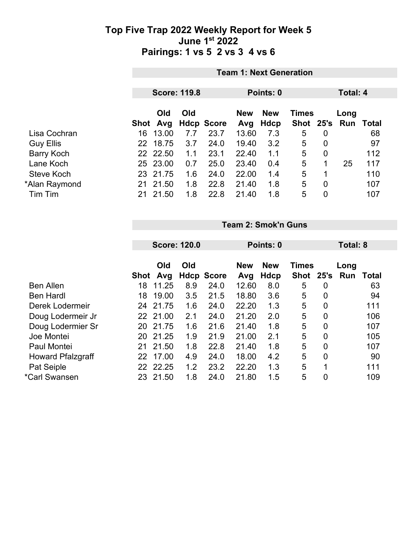|                   | <b>Team 1: Next Generation</b>   |            |     |                   |                   |                    |                      |      |                   |     |
|-------------------|----------------------------------|------------|-----|-------------------|-------------------|--------------------|----------------------|------|-------------------|-----|
|                   | <b>Score: 119.8</b><br>Points: 0 |            |     |                   |                   |                    | Total: 4             |      |                   |     |
|                   | Shot                             | Old<br>Avg | Old | <b>Hdcp Score</b> | <b>New</b><br>Avg | <b>New</b><br>Hdcp | <b>Times</b><br>Shot | 25's | Long<br>Run Total |     |
| Lisa Cochran      | 16                               | 13.00      | 7.7 | 23.7              | 13.60             | 7.3                | 5                    | 0    |                   | 68  |
| <b>Guy Ellis</b>  | 22 <sub>2</sub>                  | 18.75      | 3.7 | 24.0              | 19.40             | 3.2                | 5                    | 0    |                   | 97  |
| <b>Barry Koch</b> |                                  | 22 22.50   | 1.1 | 23.1              | 22.40             | 1.1                | 5                    | 0    |                   | 112 |
| Lane Koch         |                                  | 25 23.00   | 0.7 | 25.0              | 23.40             | 0.4                | 5                    | 1    | 25                | 117 |
| Steve Koch        |                                  | 23 21.75   | 1.6 | 24.0              | 22.00             | 1.4                | 5                    | 1    |                   | 110 |
| *Alan Raymond     | 21                               | 21.50      | 1.8 | 22.8              | 21.40             | 1.8                | 5                    | 0    |                   | 107 |
| Tim Tim           | 21                               | 21.50      | 1.8 | 22.8              | 21.40             | 1.8                | 5                    | 0    |                   | 107 |

**Team 2: Smok'n Guns**

|    |       |                                                               |                     |                   |             | Total: 8    |                |              |       |
|----|-------|---------------------------------------------------------------|---------------------|-------------------|-------------|-------------|----------------|--------------|-------|
|    |       |                                                               |                     |                   |             |             |                |              |       |
|    | Old   | Old                                                           |                     | <b>New</b>        | <b>New</b>  |             |                | Long         |       |
|    | Avg   |                                                               |                     | Avg               | <b>Hdcp</b> | <b>Shot</b> | 25's           | Run          | Total |
| 18 | 11.25 | 8.9                                                           | 24.0                | 12.60             | 8.0         | 5           | 0              |              | 63    |
| 18 | 19.00 | 3.5                                                           | 21.5                | 18.80             | 3.6         | 5           | 0              |              | 94    |
| 24 | 21.75 | 1.6                                                           | 24.0                | 22.20             | 1.3         | 5           | $\overline{0}$ |              | 111   |
|    |       | 2.1                                                           | 24.0                | 21.20             | 2.0         | 5           | 0              |              | 106   |
| 20 |       | 1.6                                                           | 21.6                | 21.40             | 1.8         | 5           | $\overline{0}$ |              | 107   |
| 20 |       | 1.9                                                           | 21.9                | 21.00             | 2.1         | 5           | $\overline{0}$ |              | 105   |
| 21 |       | 1.8                                                           | 22.8                | 21.40             | 1.8         | 5           | $\overline{0}$ |              | 107   |
| 22 |       | 4.9                                                           | 24.0                | 18.00             | 4.2         | 5           | 0              |              | 90    |
| 22 |       | 1.2                                                           | 23.2                | 22.20             | 1.3         | 5           | 1              |              | 111   |
| 23 | 21.50 | 1.8                                                           | 24.0                | 21.80             | 1.5         | 5           | 0              |              | 109   |
|    |       | Shot<br>22 21.00<br>21.75<br>21.25<br>21.50<br>17.00<br>22.25 | <b>Score: 120.0</b> | <b>Hdcp Score</b> |             | Points: 0   |                | <b>Times</b> |       |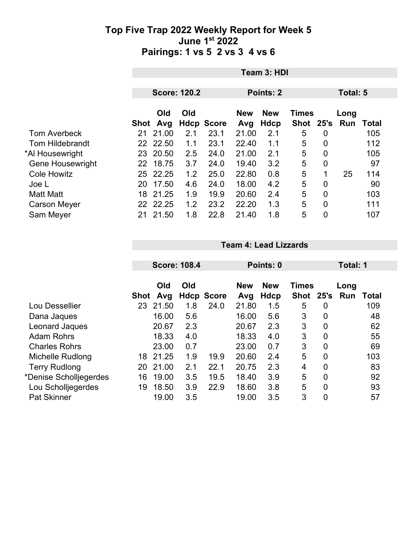|                         | Team 3: HDI |          |                     |                   |                  |            |              |                |      |                  |  |
|-------------------------|-------------|----------|---------------------|-------------------|------------------|------------|--------------|----------------|------|------------------|--|
|                         |             |          |                     |                   |                  |            |              |                |      |                  |  |
|                         |             |          | <b>Score: 120.2</b> |                   | <b>Points: 2</b> |            |              | Total: 5       |      |                  |  |
|                         |             |          |                     |                   |                  |            |              |                |      |                  |  |
|                         |             | Old      | Old                 |                   | <b>New</b>       | <b>New</b> | <b>Times</b> |                | Long |                  |  |
|                         | Shot        | Avg      |                     | <b>Hdcp Score</b> | Avg              | Hdcp       | <b>Shot</b>  | 25's           |      | <b>Run Total</b> |  |
| <b>Tom Averbeck</b>     | 21          | 21.00    | 2.1                 | 23.1              | 21.00            | 2.1        | 5            | $\overline{0}$ |      | 105              |  |
| <b>Tom Hildebrandt</b>  |             | 22 22.50 | 1.1                 | 23.1              | 22.40            | 1.1        | 5            | $\overline{0}$ |      | 112              |  |
| *Al Housewright         |             | 23 20.50 | 2.5                 | 24.0              | 21.00            | 2.1        | 5            | $\overline{0}$ |      | 105              |  |
| <b>Gene Housewright</b> |             | 22 18.75 | 3.7                 | 24.0              | 19.40            | 3.2        | 5            | $\overline{0}$ |      | 97               |  |
| <b>Cole Howitz</b>      |             | 25 22.25 | 1.2                 | 25.0              | 22.80            | 0.8        | 5            |                | 25   | 114              |  |
| Joe L                   | 20          | 17.50    | 4.6                 | 24.0              | 18.00            | 4.2        | 5            | $\overline{0}$ |      | 90               |  |
| <b>Matt Matt</b>        | 18          | 21.25    | 1.9                 | 19.9              | 20.60            | 2.4        | 5            | $\overline{0}$ |      | 103              |  |
| <b>Carson Meyer</b>     | 22.         | 22.25    | 1.2                 | 23.2              | 22.20            | 1.3        | 5            | $\overline{0}$ |      | 111              |  |
| Sam Meyer               | 21          | 21.50    | 1.8                 | 22.8              | 21.40            | 1.8        | 5            | 0              |      | 107              |  |

|                        |      | <b>Score: 108.4</b> |     |                   | Points: 0  |            |              |                | Total: 1 |       |  |
|------------------------|------|---------------------|-----|-------------------|------------|------------|--------------|----------------|----------|-------|--|
|                        |      |                     |     |                   |            |            |              |                |          |       |  |
|                        |      | Old                 | Old |                   | <b>New</b> | <b>New</b> | <b>Times</b> |                | Long     |       |  |
|                        | Shot | Avg                 |     | <b>Hdcp Score</b> | Avg        | Hdcp       | <b>Shot</b>  | 25's           | Run      | Total |  |
| Lou Dessellier         | 23   | 21.50               | 1.8 | 24.0              | 21.80      | 1.5        | 5            | 0              |          | 109   |  |
| Dana Jaques            |      | 16.00               | 5.6 |                   | 16.00      | 5.6        | 3            | 0              |          | 48    |  |
| Leonard Jaques         |      | 20.67               | 2.3 |                   | 20.67      | 2.3        | 3            | 0              |          | 62    |  |
| <b>Adam Rohrs</b>      |      | 18.33               | 4.0 |                   | 18.33      | 4.0        | 3            | $\overline{0}$ |          | 55    |  |
| <b>Charles Rohrs</b>   |      | 23.00               | 0.7 |                   | 23.00      | 0.7        | 3            | $\overline{0}$ |          | 69    |  |
| Michelle Rudlong       | 18   | 21.25               | 1.9 | 19.9              | 20.60      | 2.4        | 5            | $\overline{0}$ |          | 103   |  |
| <b>Terry Rudlong</b>   | 20   | 21.00               | 2.1 | 22.1              | 20.75      | 2.3        | 4            | 0              |          | 83    |  |
| *Denise Scholljegerdes | 16   | 19.00               | 3.5 | 19.5              | 18.40      | 3.9        | 5            | $\overline{0}$ |          | 92    |  |
| Lou Scholljegerdes     | 19   | 18.50               | 3.9 | 22.9              | 18.60      | 3.8        | 5            | 0              |          | 93    |  |
| Pat Skinner            |      | 19.00               | 3.5 |                   | 19.00      | 3.5        | 3            | 0              |          | 57    |  |

**Team 4: Lead Lizzards**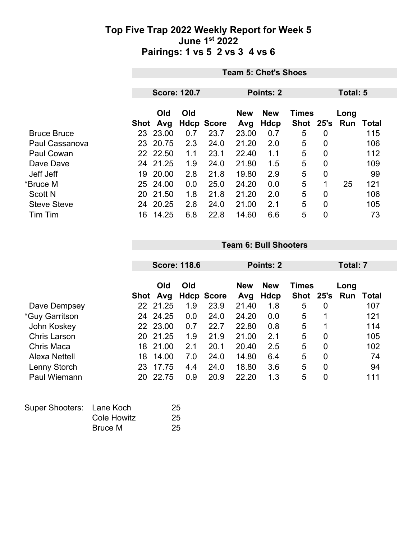|                    | <b>Team 5: Chet's Shoes</b> |                     |     |                   |                  |            |              |                |          |       |
|--------------------|-----------------------------|---------------------|-----|-------------------|------------------|------------|--------------|----------------|----------|-------|
|                    |                             |                     |     |                   |                  |            |              |                |          |       |
|                    |                             | <b>Score: 120.7</b> |     |                   | <b>Points: 2</b> |            |              |                | Total: 5 |       |
|                    |                             | Old                 | Old |                   | <b>New</b>       | <b>New</b> | <b>Times</b> |                | Long     |       |
|                    | Shot                        | Avg                 |     | <b>Hdcp Score</b> | Avg              | Hdcp       | <b>Shot</b>  | 25's           | Run      | Total |
| <b>Bruce Bruce</b> | 23                          | 23.00               | 0.7 | 23.7              | 23.00            | 0.7        | 5            | 0              |          | 115   |
| Paul Cassanova     | 23                          | 20.75               | 2.3 | 24.0              | 21.20            | 2.0        | 5            | $\overline{0}$ |          | 106   |
| Paul Cowan         |                             | 22 22.50            | 1.1 | 23.1              | 22.40            | 1.1        | 5            | 0              |          | 112   |
| Dave Dave          | 24                          | 21.25               | 1.9 | 24.0              | 21.80            | 1.5        | 5            | 0              |          | 109   |
| Jeff Jeff          | 19                          | 20.00               | 2.8 | 21.8              | 19.80            | 2.9        | 5            | 0              |          | 99    |
| *Bruce M           | 25                          | 24.00               | 0.0 | 25.0              | 24.20            | 0.0        | 5            | 1              | 25       | 121   |
| <b>Scott N</b>     | 20                          | 21.50               | 1.8 | 21.8              | 21.20            | 2.0        | 5            | 0              |          | 106   |
| <b>Steve Steve</b> | 24                          | 20.25               | 2.6 | 24.0              | 21.00            | 2.1        | 5            | 0              |          | 105   |
| Tim Tim            | 16                          | 14.25               | 6.8 | 22.8              | 14.60            | 6.6        | 5            | 0              |          | 73    |

|                     |      | <b>Score: 118.6</b> |     |                   | Points: 2         |                    |                           |                  | Total: 7    |       |
|---------------------|------|---------------------|-----|-------------------|-------------------|--------------------|---------------------------|------------------|-------------|-------|
|                     | Shot | Old<br>Avg          | Old | <b>Hdcp Score</b> | <b>New</b><br>Avg | <b>New</b><br>Hdcp | <b>Times</b><br>Shot 25's |                  | Long<br>Run | Total |
| Dave Dempsey        | 22.  | 21.25               | 1.9 | 23.9              | 21.40             | 1.8                | 5                         | $\boldsymbol{0}$ |             | 107   |
| *Guy Garritson      | 24   | 24.25               | 0.0 | 24.0              | 24.20             | 0.0                | 5                         | 1                |             | 121   |
| John Koskey         |      | 22 23.00            | 0.7 | 22.7              | 22.80             | 0.8                | 5                         | 1                |             | 114   |
| <b>Chris Larson</b> | 20   | 21.25               | 1.9 | 21.9              | 21.00             | 2.1                | 5                         | $\overline{0}$   |             | 105   |
| Chris Maca          | 18   | 21.00               | 2.1 | 20.1              | 20.40             | 2.5                | 5                         | $\overline{0}$   |             | 102   |
| Alexa Nettell       | 18   | 14.00               | 7.0 | 24.0              | 14.80             | 6.4                | 5                         | $\overline{0}$   |             | 74    |
| Lenny Storch        | 23   | 17.75               | 4.4 | 24.0              | 18.80             | 3.6                | 5                         | 0                |             | 94    |
| Paul Wiemann        | 20   | 22.75               | 0.9 | 20.9              | 22.20             | 1.3                | 5                         | 0                |             | 111   |

**Team 6: Bull Shooters**

| Super Shooters: Lane Koch |             | 25 |
|---------------------------|-------------|----|
|                           | Cole Howitz | 25 |
|                           | Bruce M     | 25 |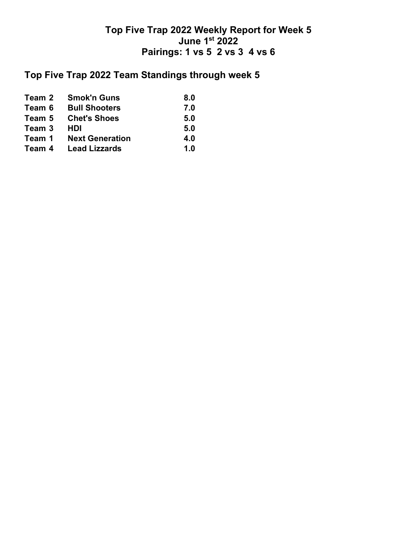## **Top Five Trap 2022 Team Standings through week 5**

| Team 2 | <b>Smok'n Guns</b>     | 8.0 |
|--------|------------------------|-----|
| Team 6 | <b>Bull Shooters</b>   | 7.0 |
| Team 5 | <b>Chet's Shoes</b>    | 5.0 |
| Team 3 | HDI                    | 5.0 |
| Team 1 | <b>Next Generation</b> | 4.0 |
| Team 4 | <b>Lead Lizzards</b>   | 1.0 |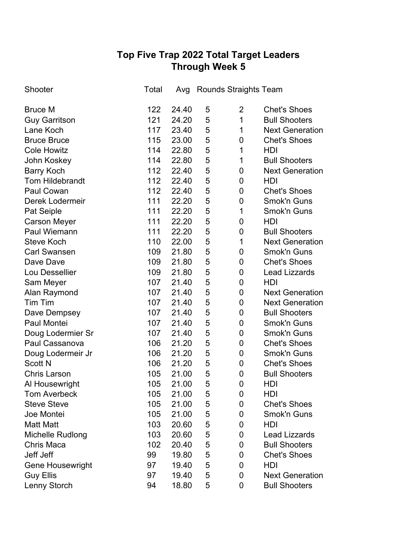# **Top Five Trap 2022 Total Target Leaders Through Week 5**

| Shooter                 | Total | Avg   |   | <b>Rounds Straights Team</b> |                        |
|-------------------------|-------|-------|---|------------------------------|------------------------|
| <b>Bruce M</b>          | 122   | 24.40 | 5 | $\overline{2}$               | <b>Chet's Shoes</b>    |
| <b>Guy Garritson</b>    | 121   | 24.20 | 5 | 1                            | <b>Bull Shooters</b>   |
| Lane Koch               | 117   | 23.40 | 5 | 1                            | <b>Next Generation</b> |
| <b>Bruce Bruce</b>      | 115   | 23.00 | 5 | 0                            | <b>Chet's Shoes</b>    |
| <b>Cole Howitz</b>      | 114   | 22.80 | 5 | $\mathbf 1$                  | HDI                    |
| John Koskey             | 114   | 22.80 | 5 | 1                            | <b>Bull Shooters</b>   |
| <b>Barry Koch</b>       | 112   | 22.40 | 5 | 0                            | <b>Next Generation</b> |
| <b>Tom Hildebrandt</b>  | 112   | 22.40 | 5 | 0                            | HDI                    |
| Paul Cowan              | 112   | 22.40 | 5 | 0                            | <b>Chet's Shoes</b>    |
| Derek Lodermeir         | 111   | 22.20 | 5 | 0                            | <b>Smok'n Guns</b>     |
| Pat Seiple              | 111   | 22.20 | 5 | $\mathbf 1$                  | <b>Smok'n Guns</b>     |
| <b>Carson Meyer</b>     | 111   | 22.20 | 5 | 0                            | HDI                    |
| Paul Wiemann            | 111   | 22.20 | 5 | 0                            | <b>Bull Shooters</b>   |
| <b>Steve Koch</b>       | 110   | 22.00 | 5 | $\mathbf 1$                  | <b>Next Generation</b> |
| <b>Carl Swansen</b>     | 109   | 21.80 | 5 | 0                            | <b>Smok'n Guns</b>     |
| Dave Dave               | 109   | 21.80 | 5 | 0                            | <b>Chet's Shoes</b>    |
| Lou Dessellier          | 109   | 21.80 | 5 | 0                            | <b>Lead Lizzards</b>   |
| Sam Meyer               | 107   | 21.40 | 5 | 0                            | HDI                    |
| Alan Raymond            | 107   | 21.40 | 5 | 0                            | <b>Next Generation</b> |
| Tim Tim                 | 107   | 21.40 | 5 | 0                            | <b>Next Generation</b> |
| Dave Dempsey            | 107   | 21.40 | 5 | 0                            | <b>Bull Shooters</b>   |
| Paul Montei             | 107   | 21.40 | 5 | 0                            | <b>Smok'n Guns</b>     |
| Doug Lodermier Sr       | 107   | 21.40 | 5 | 0                            | <b>Smok'n Guns</b>     |
| Paul Cassanova          | 106   | 21.20 | 5 | 0                            | <b>Chet's Shoes</b>    |
| Doug Lodermeir Jr       | 106   | 21.20 | 5 | 0                            | <b>Smok'n Guns</b>     |
| <b>Scott N</b>          | 106   | 21.20 | 5 | 0                            | <b>Chet's Shoes</b>    |
| <b>Chris Larson</b>     | 105   | 21.00 | 5 | 0                            | <b>Bull Shooters</b>   |
| Al Housewright          | 105   | 21.00 | 5 | 0                            | HDI                    |
| <b>Tom Averbeck</b>     | 105   | 21.00 | 5 | 0                            | HDI                    |
| <b>Steve Steve</b>      | 105   | 21.00 | 5 | 0                            | <b>Chet's Shoes</b>    |
| Joe Montei              | 105   | 21.00 | 5 | 0                            | Smok'n Guns            |
| <b>Matt Matt</b>        | 103   | 20.60 | 5 | 0                            | HDI                    |
| Michelle Rudlong        | 103   | 20.60 | 5 | 0                            | <b>Lead Lizzards</b>   |
| <b>Chris Maca</b>       | 102   | 20.40 | 5 | 0                            | <b>Bull Shooters</b>   |
| Jeff Jeff               | 99    | 19.80 | 5 | 0                            | <b>Chet's Shoes</b>    |
| <b>Gene Housewright</b> | 97    | 19.40 | 5 | 0                            | HDI                    |
| <b>Guy Ellis</b>        | 97    | 19.40 | 5 | 0                            | <b>Next Generation</b> |
| Lenny Storch            | 94    | 18.80 | 5 | 0                            | <b>Bull Shooters</b>   |